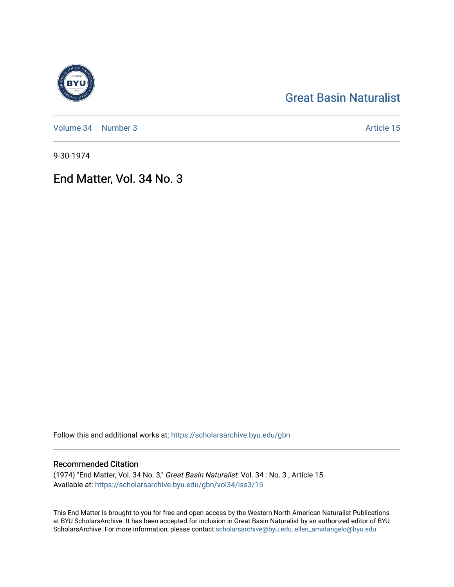# [Great Basin Naturalist](https://scholarsarchive.byu.edu/gbn)

[Volume 34](https://scholarsarchive.byu.edu/gbn/vol34) | [Number 3](https://scholarsarchive.byu.edu/gbn/vol34/iss3) Article 15

9-30-1974

## End Matter, Vol. 34 No. 3

Follow this and additional works at: [https://scholarsarchive.byu.edu/gbn](https://scholarsarchive.byu.edu/gbn?utm_source=scholarsarchive.byu.edu%2Fgbn%2Fvol34%2Fiss3%2F15&utm_medium=PDF&utm_campaign=PDFCoverPages) 

### Recommended Citation

(1974) "End Matter, Vol. 34 No. 3," Great Basin Naturalist: Vol. 34 : No. 3 , Article 15. Available at: [https://scholarsarchive.byu.edu/gbn/vol34/iss3/15](https://scholarsarchive.byu.edu/gbn/vol34/iss3/15?utm_source=scholarsarchive.byu.edu%2Fgbn%2Fvol34%2Fiss3%2F15&utm_medium=PDF&utm_campaign=PDFCoverPages) 

This End Matter is brought to you for free and open access by the Western North American Naturalist Publications at BYU ScholarsArchive. It has been accepted for inclusion in Great Basin Naturalist by an authorized editor of BYU ScholarsArchive. For more information, please contact [scholarsarchive@byu.edu, ellen\\_amatangelo@byu.edu.](mailto:scholarsarchive@byu.edu,%20ellen_amatangelo@byu.edu)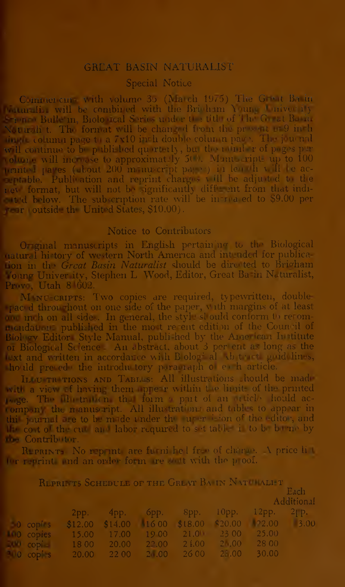#### GREAT BASIN NATURALIST

#### Special Notice

Commercing with volume 35 (March 1975) The Great Basin  $\mathop{\rm lin}\nolimits$  will be combined with the Brighton Young University Bulletin, Biological Series under the title of The Great Basin Not trial t. The format will be changed from the present of  $9$  in h  $\mu$ , column page to a 7x10 in h double column page. The journal will continue to be published quarterly, but the number of pages per rollune will increase to approximately 500. Manuscripts up to 100 pennted pages (about 200 m nu cript pages) in leading ill be ac- $\epsilon$  in table. Publication and reprint charges will be adjusted to the rey format, but will not be ignificantly different from that indiat d below. The subscription rate will be increased to  $$9.00$  per rear (outside the United States, \$10.00).

#### Notice to Contributors

Original manuscripts in English pertaining to the Biological rural history of western North America and intended for publica-In the *Great Basin Naturalist* should be directed to Brigham  $_{\rm long}$  Univer ity, Stephen L. Wood, Editor, Great Basin Naturalist,  $_{\rm mag}$  $Pr(v)$ , Utah 8 $602$ .

MANU-CRIPTS: Two copies are required, typewritten, doubleraced throughout on one side of the paper, with margins of at least  $\frac{1}{2}$  inch on all sides. In general, the style should conform to recommendations published in the most resent edition of the Council of Biol ov Editor Style Manual, publi hed by the American Institute of Biological Science. An abstract, about 3 per ent as long as the lext and written in accordance with Bological Abstracts guidelines, hould preade the introductory paragiaph of each article.

ILLU TRETIONS AND TABLES: All illustrations should be made with a view of having them appear within the limits of the printed page. The illustration the form a part of an article hould acrompany the manuscript. All illustrations and tables to appear in this journal are to be made under the uper is ion of the editor, and  $\mathbb H$  cost of the cuts and labor required to set tables is to be borne by •; Contributor.

Reprints: No repeat are furnished free of charge.  $\Lambda$  price little for reprint and an order form are statt with the  $p$  oof.

REPRI TS SCHEDULE OF THE GREAT BAIN NATURALLY

|  |                                                                       |  |                                                    | <b>Latin</b><br>Additional |  |
|--|-----------------------------------------------------------------------|--|----------------------------------------------------|----------------------------|--|
|  |                                                                       |  | $2pp.$ $4pp.$ $6pp.$ $8pp.$ $10pp.$ $12pp.$ $2pp.$ |                            |  |
|  | 0 copi s $$12.00$ $$14.00$ $16.00$ $$18.00$ $$20.00$ $$22.00$ $$3.00$ |  |                                                    |                            |  |
|  | 10 copies 15.00 17.00 19 00 21.0 23 00 25.00                          |  |                                                    |                            |  |
|  | copi = 18 00 = 20.00 = 22.00 = 21.00 = 21.00 = 28 00                  |  |                                                    |                            |  |
|  | 200 copi s 20.00 22.00 20.00 26.00 25.00 30.00                        |  |                                                    |                            |  |